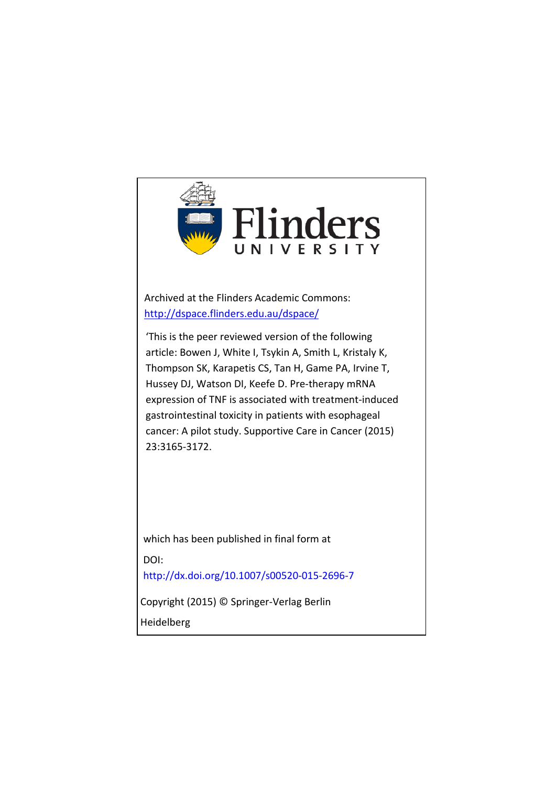

Archived at the Flinders Academic Commons: <http://dspace.flinders.edu.au/dspace/>

'This is the peer reviewed version of the following article: Bowen J, White I, Tsykin A, Smith L, Kristaly K, Thompson SK, Karapetis CS, Tan H, Game PA, Irvine T, Hussey DJ, Watson DI, Keefe D. Pre-therapy mRNA expression of TNF is associated with treatment-induced gastrointestinal toxicity in patients with esophageal [cancer: A pilot study. Supportive C](http://dx.doi.org/)are in Cancer (2015) 23:3165-3172.

which has been published in final form at DOI: http://dx.doi.org/10.1007/s00520-015-2696-7

Copyright (2015) © Springer-Verlag Berlin

Heidelberg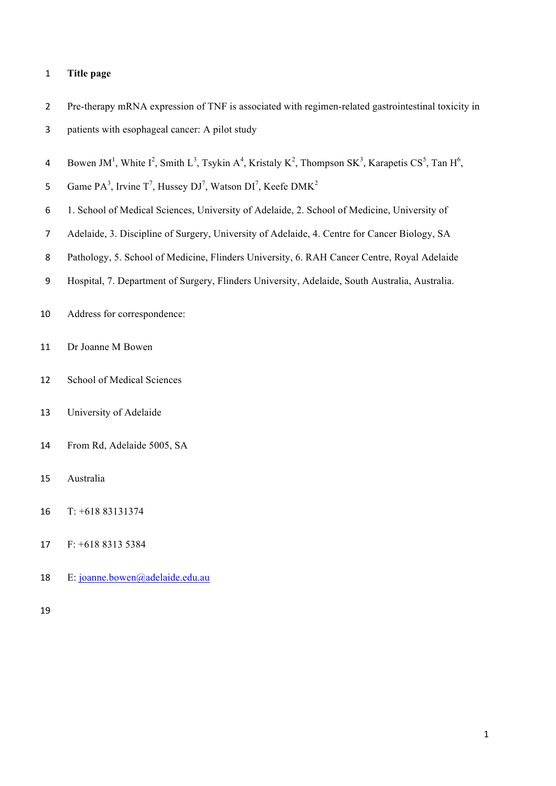## **Title page**

 Pre-therapy mRNA expression of TNF is associated with regimen-related gastrointestinal toxicity in patients with esophageal cancer: A pilot study

4 Bowen JM<sup>1</sup>, White I<sup>2</sup>, Smith L<sup>3</sup>, Tsykin A<sup>4</sup>, Kristaly K<sup>2</sup>, Thompson SK<sup>3</sup>, Karapetis CS<sup>5</sup>, Tan H<sup>6</sup>,

5 Game  $PA^3$ , Irvine T<sup>7</sup>, Hussey DJ<sup>7</sup>, Watson DI<sup>7</sup>, Keefe DMK<sup>2</sup>

- 1. School of Medical Sciences, University of Adelaide, 2. School of Medicine, University of
- Adelaide, 3. Discipline of Surgery, University of Adelaide, 4. Centre for Cancer Biology, SA
- Pathology, 5. School of Medicine, Flinders University, 6. RAH Cancer Centre, Royal Adelaide
- Hospital, 7. Department of Surgery, Flinders University, Adelaide, South Australia, Australia.
- Address for correspondence:
- Dr Joanne M Bowen
- School of Medical Sciences
- University of Adelaide
- From Rd, Adelaide 5005, SA
- Australia
- T: +618 83131374
- F: +618 8313 5384
- E: joanne.bowen@adelaide.edu.au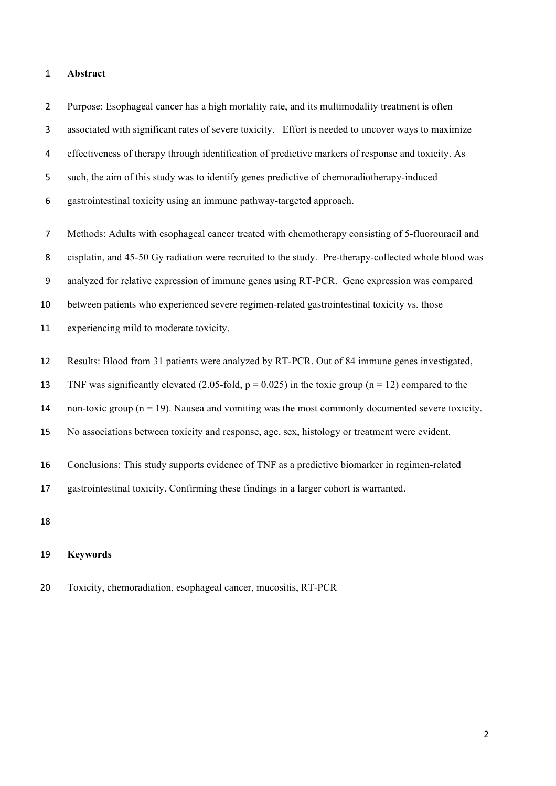#### **Abstract**

 Purpose: Esophageal cancer has a high mortality rate, and its multimodality treatment is often associated with significant rates of severe toxicity. Effort is needed to uncover ways to maximize effectiveness of therapy through identification of predictive markers of response and toxicity. As such, the aim of this study was to identify genes predictive of chemoradiotherapy-induced gastrointestinal toxicity using an immune pathway-targeted approach.

 Methods: Adults with esophageal cancer treated with chemotherapy consisting of 5-fluorouracil and cisplatin, and 45-50 Gy radiation were recruited to the study. Pre-therapy-collected whole blood was analyzed for relative expression of immune genes using RT-PCR. Gene expression was compared between patients who experienced severe regimen-related gastrointestinal toxicity vs. those experiencing mild to moderate toxicity.

- Results: Blood from 31 patients were analyzed by RT-PCR. Out of 84 immune genes investigated,
- 13 TNF was significantly elevated (2.05-fold,  $p = 0.025$ ) in the toxic group (n = 12) compared to the
- 14 non-toxic group ( $n = 19$ ). Nausea and vomiting was the most commonly documented severe toxicity.
- No associations between toxicity and response, age, sex, histology or treatment were evident.
- Conclusions: This study supports evidence of TNF as a predictive biomarker in regimen-related

gastrointestinal toxicity. Confirming these findings in a larger cohort is warranted.

### **Keywords**

Toxicity, chemoradiation, esophageal cancer, mucositis, RT-PCR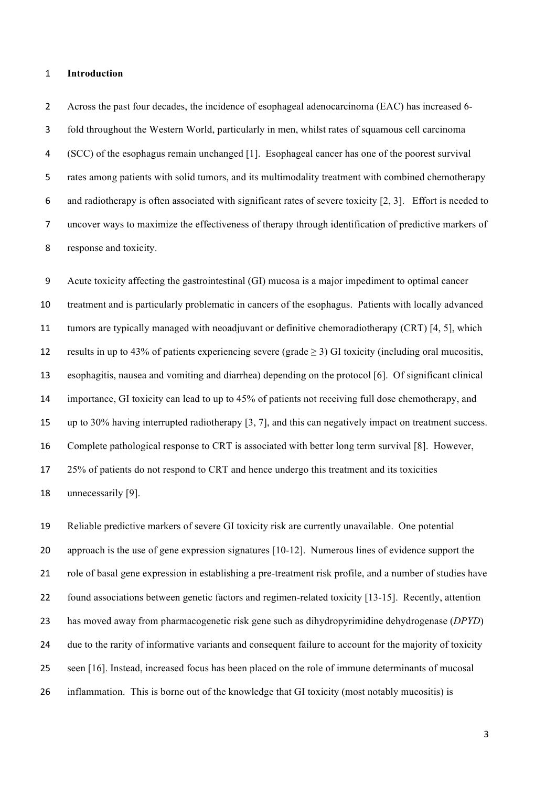#### **Introduction**

 Across the past four decades, the incidence of esophageal adenocarcinoma (EAC) has increased 6- fold throughout the Western World, particularly in men, whilst rates of squamous cell carcinoma (SCC) of the esophagus remain unchanged [1]. Esophageal cancer has one of the poorest survival rates among patients with solid tumors, and its multimodality treatment with combined chemotherapy and radiotherapy is often associated with significant rates of severe toxicity [2, 3]. Effort is needed to uncover ways to maximize the effectiveness of therapy through identification of predictive markers of response and toxicity.

 Acute toxicity affecting the gastrointestinal (GI) mucosa is a major impediment to optimal cancer treatment and is particularly problematic in cancers of the esophagus. Patients with locally advanced tumors are typically managed with neoadjuvant or definitive chemoradiotherapy (CRT) [4, 5], which 12 results in up to 43% of patients experiencing severe (grade  $\geq$  3) GI toxicity (including oral mucositis, esophagitis, nausea and vomiting and diarrhea) depending on the protocol [6]. Of significant clinical importance, GI toxicity can lead to up to 45% of patients not receiving full dose chemotherapy, and up to 30% having interrupted radiotherapy [3, 7], and this can negatively impact on treatment success. Complete pathological response to CRT is associated with better long term survival [8]. However, 25% of patients do not respond to CRT and hence undergo this treatment and its toxicities unnecessarily [9].

 Reliable predictive markers of severe GI toxicity risk are currently unavailable. One potential approach is the use of gene expression signatures [10-12]. Numerous lines of evidence support the role of basal gene expression in establishing a pre-treatment risk profile, and a number of studies have found associations between genetic factors and regimen-related toxicity [13-15]. Recently, attention has moved away from pharmacogenetic risk gene such as dihydropyrimidine dehydrogenase (*DPYD*) due to the rarity of informative variants and consequent failure to account for the majority of toxicity seen [16]. Instead, increased focus has been placed on the role of immune determinants of mucosal inflammation. This is borne out of the knowledge that GI toxicity (most notably mucositis) is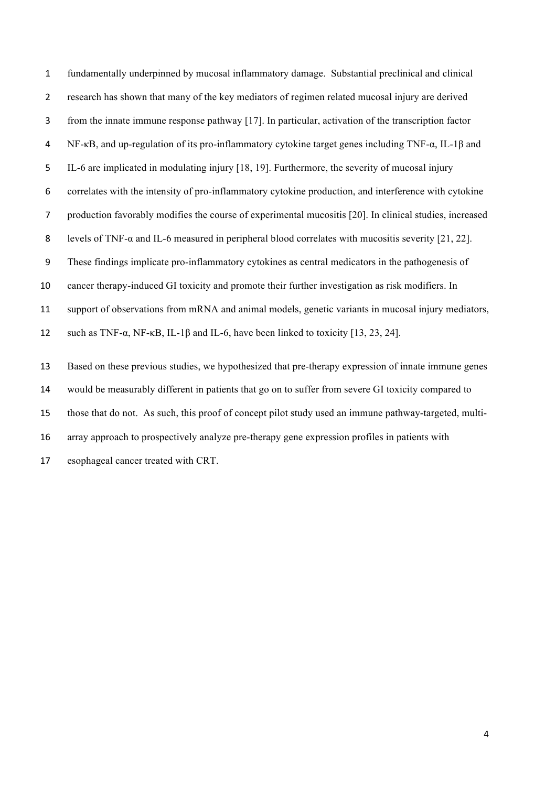fundamentally underpinned by mucosal inflammatory damage. Substantial preclinical and clinical research has shown that many of the key mediators of regimen related mucosal injury are derived from the innate immune response pathway [17]. In particular, activation of the transcription factor NF-κB, and up-regulation of its pro-inflammatory cytokine target genes including TNF-α, IL-1β and IL-6 are implicated in modulating injury [18, 19]. Furthermore, the severity of mucosal injury correlates with the intensity of pro-inflammatory cytokine production, and interference with cytokine production favorably modifies the course of experimental mucositis [20]. In clinical studies, increased levels of TNF-α and IL-6 measured in peripheral blood correlates with mucositis severity [21, 22]. These findings implicate pro-inflammatory cytokines as central medicators in the pathogenesis of cancer therapy-induced GI toxicity and promote their further investigation as risk modifiers. In support of observations from mRNA and animal models, genetic variants in mucosal injury mediators, such as TNF-α, NF-κB, IL-1β and IL-6, have been linked to toxicity [13, 23, 24]. Based on these previous studies, we hypothesized that pre-therapy expression of innate immune genes would be measurably different in patients that go on to suffer from severe GI toxicity compared to those that do not. As such, this proof of concept pilot study used an immune pathway-targeted, multi- array approach to prospectively analyze pre-therapy gene expression profiles in patients with esophageal cancer treated with CRT.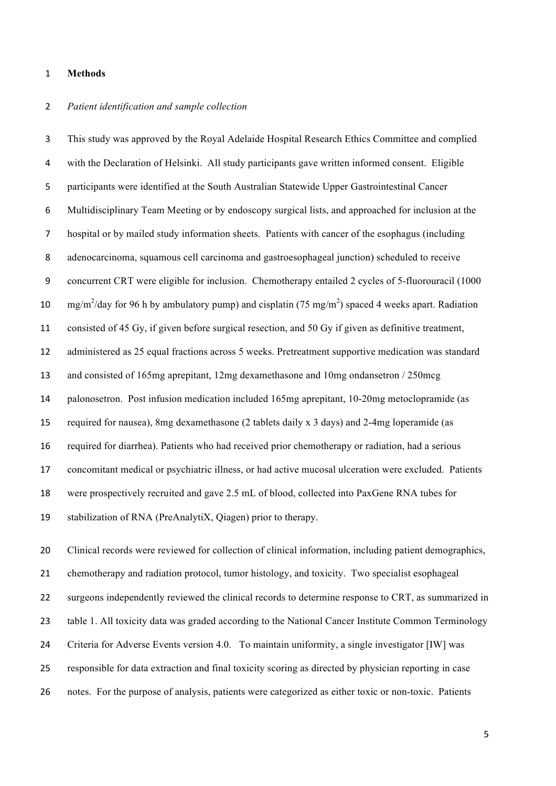#### **Methods**

## *Patient identification and sample collection*

 This study was approved by the Royal Adelaide Hospital Research Ethics Committee and complied with the Declaration of Helsinki. All study participants gave written informed consent. Eligible participants were identified at the South Australian Statewide Upper Gastrointestinal Cancer Multidisciplinary Team Meeting or by endoscopy surgical lists, and approached for inclusion at the hospital or by mailed study information sheets. Patients with cancer of the esophagus (including adenocarcinoma, squamous cell carcinoma and gastroesophageal junction) scheduled to receive concurrent CRT were eligible for inclusion. Chemotherapy entailed 2 cycles of 5-fluorouracil (1000 10 mg/m<sup>2</sup>/day for 96 h by ambulatory pump) and cisplatin (75 mg/m<sup>2</sup>) spaced 4 weeks apart. Radiation consisted of 45 Gy, if given before surgical resection, and 50 Gy if given as definitive treatment, administered as 25 equal fractions across 5 weeks. Pretreatment supportive medication was standard and consisted of 165mg aprepitant, 12mg dexamethasone and 10mg ondansetron / 250mcg palonosetron. Post infusion medication included 165mg aprepitant, 10-20mg metoclopramide (as required for nausea), 8mg dexamethasone (2 tablets daily x 3 days) and 2-4mg loperamide (as required for diarrhea). Patients who had received prior chemotherapy or radiation, had a serious concomitant medical or psychiatric illness, or had active mucosal ulceration were excluded. Patients were prospectively recruited and gave 2.5 mL of blood, collected into PaxGene RNA tubes for stabilization of RNA (PreAnalytiX, Qiagen) prior to therapy.

 Clinical records were reviewed for collection of clinical information, including patient demographics, chemotherapy and radiation protocol, tumor histology, and toxicity. Two specialist esophageal surgeons independently reviewed the clinical records to determine response to CRT, as summarized in table 1. All toxicity data was graded according to the National Cancer Institute Common Terminology Criteria for Adverse Events version 4.0. To maintain uniformity, a single investigator [IW] was responsible for data extraction and final toxicity scoring as directed by physician reporting in case notes. For the purpose of analysis, patients were categorized as either toxic or non-toxic. Patients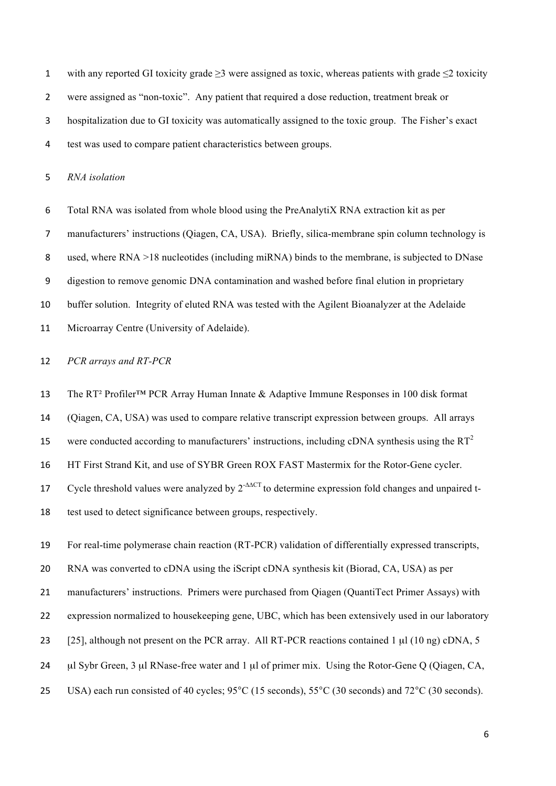with any reported GI toxicity grade ≥3 were assigned as toxic, whereas patients with grade ≤2 toxicity were assigned as "non-toxic". Any patient that required a dose reduction, treatment break or hospitalization due to GI toxicity was automatically assigned to the toxic group. The Fisher's exact test was used to compare patient characteristics between groups.

*RNA isolation* 

Total RNA was isolated from whole blood using the PreAnalytiX RNA extraction kit as per

manufacturers' instructions (Qiagen, CA, USA). Briefly, silica-membrane spin column technology is

used, where RNA >18 nucleotides (including miRNA) binds to the membrane, is subjected to DNase

digestion to remove genomic DNA contamination and washed before final elution in proprietary

buffer solution. Integrity of eluted RNA was tested with the Agilent Bioanalyzer at the Adelaide

Microarray Centre (University of Adelaide).

*PCR arrays and RT-PCR*

The RT² Profiler™ PCR Array Human Innate & Adaptive Immune Responses in 100 disk format

(Qiagen, CA, USA) was used to compare relative transcript expression between groups. All arrays

15 were conducted according to manufacturers' instructions, including cDNA synthesis using the  $RT^2$ 

HT First Strand Kit, and use of SYBR Green ROX FAST Mastermix for the Rotor-Gene cycler.

17 Cycle threshold values were analyzed by 2<sup>-∆∆CT</sup> to determine expression fold changes and unpaired t-

test used to detect significance between groups, respectively.

 For real-time polymerase chain reaction (RT-PCR) validation of differentially expressed transcripts, RNA was converted to cDNA using the iScript cDNA synthesis kit (Biorad, CA, USA) as per manufacturers' instructions. Primers were purchased from Qiagen (QuantiTect Primer Assays) with expression normalized to housekeeping gene, UBC, which has been extensively used in our laboratory 23 [25], although not present on the PCR array. All RT-PCR reactions contained 1 µl (10 ng) cDNA, 5 24 µl Sybr Green, 3 µl RNase-free water and 1 µl of primer mix. Using the Rotor-Gene Q (Qiagen, CA,

USA) each run consisted of 40 cycles; 95°C (15 seconds), 55°C (30 seconds) and 72°C (30 seconds).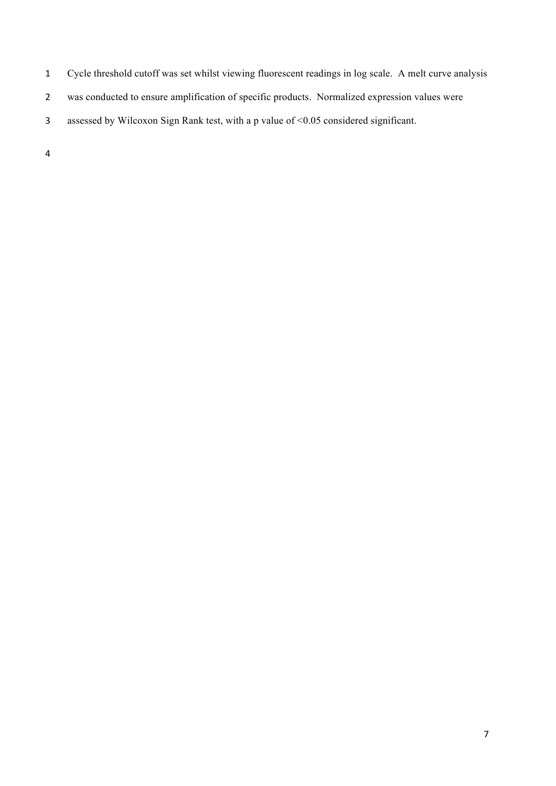- Cycle threshold cutoff was set whilst viewing fluorescent readings in log scale. A melt curve analysis
- was conducted to ensure amplification of specific products. Normalized expression values were
- assessed by Wilcoxon Sign Rank test, with a p value of <0.05 considered significant.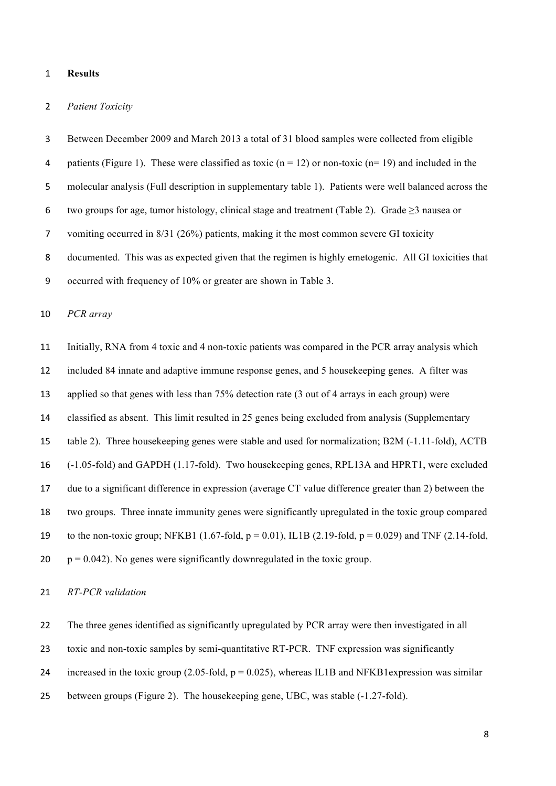#### **Results**

## *Patient Toxicity*

 Between December 2009 and March 2013 a total of 31 blood samples were collected from eligible 4 patients (Figure 1). These were classified as toxic  $(n = 12)$  or non-toxic  $(n = 19)$  and included in the molecular analysis (Full description in supplementary table 1). Patients were well balanced across the 6 two groups for age, tumor histology, clinical stage and treatment (Table 2). Grade  $\geq 3$  nausea or vomiting occurred in 8/31 (26%) patients, making it the most common severe GI toxicity documented. This was as expected given that the regimen is highly emetogenic. All GI toxicities that occurred with frequency of 10% or greater are shown in Table 3.

## *PCR array*

 Initially, RNA from 4 toxic and 4 non-toxic patients was compared in the PCR array analysis which included 84 innate and adaptive immune response genes, and 5 housekeeping genes. A filter was applied so that genes with less than 75% detection rate (3 out of 4 arrays in each group) were classified as absent. This limit resulted in 25 genes being excluded from analysis (Supplementary table 2). Three housekeeping genes were stable and used for normalization; B2M (-1.11-fold), ACTB (-1.05-fold) and GAPDH (1.17-fold). Two housekeeping genes, RPL13A and HPRT1, were excluded due to a significant difference in expression (average CT value difference greater than 2) between the two groups. Three innate immunity genes were significantly upregulated in the toxic group compared 19 to the non-toxic group; NFKB1 (1.67-fold,  $p = 0.01$ ), IL1B (2.19-fold,  $p = 0.029$ ) and TNF (2.14-fold,  $20 \text{ p} = 0.042$ ). No genes were significantly downregulated in the toxic group.

## *RT-PCR validation*

The three genes identified as significantly upregulated by PCR array were then investigated in all

toxic and non-toxic samples by semi-quantitative RT-PCR. TNF expression was significantly

24 increased in the toxic group (2.05-fold,  $p = 0.025$ ), whereas IL1B and NFKB1 expression was similar

between groups (Figure 2). The housekeeping gene, UBC, was stable (-1.27-fold).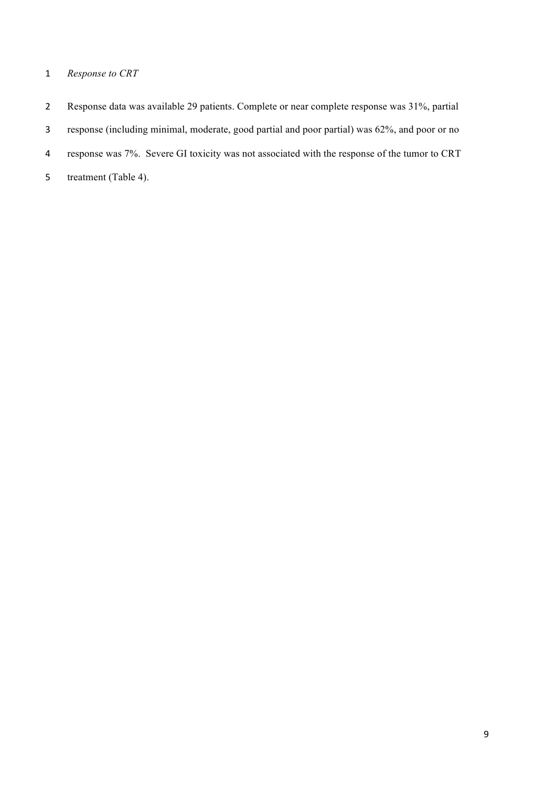## *Response to CRT*

- Response data was available 29 patients. Complete or near complete response was 31%, partial
- response (including minimal, moderate, good partial and poor partial) was 62%, and poor or no
- response was 7%. Severe GI toxicity was not associated with the response of the tumor to CRT
- 5 treatment (Table 4).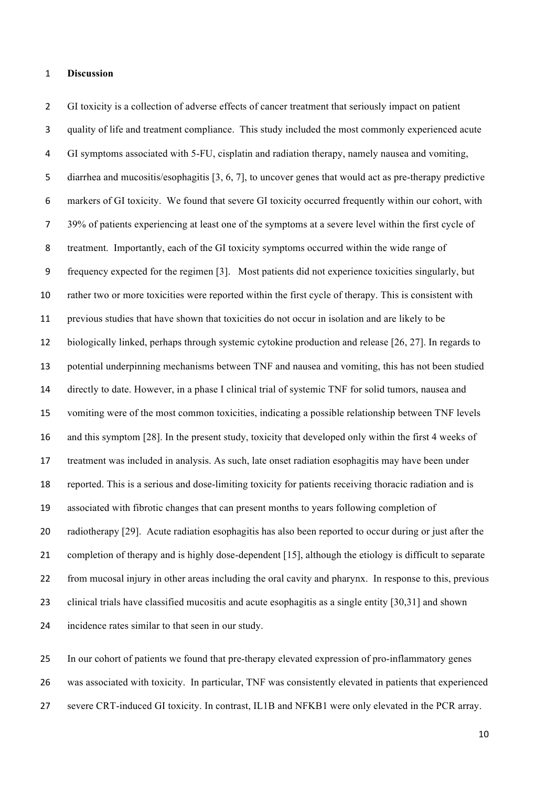#### **Discussion**

 GI toxicity is a collection of adverse effects of cancer treatment that seriously impact on patient quality of life and treatment compliance. This study included the most commonly experienced acute GI symptoms associated with 5-FU, cisplatin and radiation therapy, namely nausea and vomiting, diarrhea and mucositis/esophagitis [3, 6, 7], to uncover genes that would act as pre-therapy predictive markers of GI toxicity. We found that severe GI toxicity occurred frequently within our cohort, with 39% of patients experiencing at least one of the symptoms at a severe level within the first cycle of treatment. Importantly, each of the GI toxicity symptoms occurred within the wide range of frequency expected for the regimen [3]. Most patients did not experience toxicities singularly, but rather two or more toxicities were reported within the first cycle of therapy. This is consistent with previous studies that have shown that toxicities do not occur in isolation and are likely to be biologically linked, perhaps through systemic cytokine production and release [26, 27]. In regards to potential underpinning mechanisms between TNF and nausea and vomiting, this has not been studied directly to date. However, in a phase I clinical trial of systemic TNF for solid tumors, nausea and vomiting were of the most common toxicities, indicating a possible relationship between TNF levels and this symptom [28]. In the present study, toxicity that developed only within the first 4 weeks of treatment was included in analysis. As such, late onset radiation esophagitis may have been under reported. This is a serious and dose-limiting toxicity for patients receiving thoracic radiation and is associated with fibrotic changes that can present months to years following completion of radiotherapy [29]. Acute radiation esophagitis has also been reported to occur during or just after the completion of therapy and is highly dose-dependent [15], although the etiology is difficult to separate from mucosal injury in other areas including the oral cavity and pharynx. In response to this, previous clinical trials have classified mucositis and acute esophagitis as a single entity [30,31] and shown incidence rates similar to that seen in our study.

 In our cohort of patients we found that pre-therapy elevated expression of pro-inflammatory genes was associated with toxicity. In particular, TNF was consistently elevated in patients that experienced severe CRT-induced GI toxicity. In contrast, IL1B and NFKB1 were only elevated in the PCR array.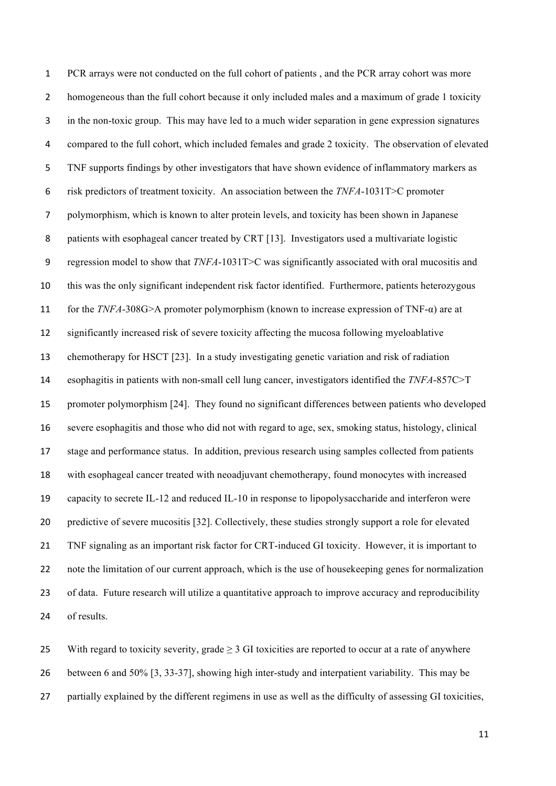PCR arrays were not conducted on the full cohort of patients , and the PCR array cohort was more homogeneous than the full cohort because it only included males and a maximum of grade 1 toxicity in the non-toxic group. This may have led to a much wider separation in gene expression signatures compared to the full cohort, which included females and grade 2 toxicity. The observation of elevated TNF supports findings by other investigators that have shown evidence of inflammatory markers as risk predictors of treatment toxicity. An association between the *TNFA*-1031T>C promoter polymorphism, which is known to alter protein levels, and toxicity has been shown in Japanese patients with esophageal cancer treated by CRT [13]. Investigators used a multivariate logistic regression model to show that *TNFA*-1031T>C was significantly associated with oral mucositis and this was the only significant independent risk factor identified. Furthermore, patients heterozygous for the *TNFA*-308G>A promoter polymorphism (known to increase expression of TNF-α) are at significantly increased risk of severe toxicity affecting the mucosa following myeloablative chemotherapy for HSCT [23]. In a study investigating genetic variation and risk of radiation esophagitis in patients with non-small cell lung cancer, investigators identified the *TNFA*-857C>T promoter polymorphism [24]. They found no significant differences between patients who developed severe esophagitis and those who did not with regard to age, sex, smoking status, histology, clinical stage and performance status. In addition, previous research using samples collected from patients with esophageal cancer treated with neoadjuvant chemotherapy, found monocytes with increased capacity to secrete IL-12 and reduced IL-10 in response to lipopolysaccharide and interferon were predictive of severe mucositis [32]. Collectively, these studies strongly support a role for elevated TNF signaling as an important risk factor for CRT-induced GI toxicity. However, it is important to note the limitation of our current approach, which is the use of housekeeping genes for normalization of data. Future research will utilize a quantitative approach to improve accuracy and reproducibility of results.

25 With regard to toxicity severity, grade > 3 GI toxicities are reported to occur at a rate of anywhere between 6 and 50% [3, 33-37], showing high inter-study and interpatient variability. This may be partially explained by the different regimens in use as well as the difficulty of assessing GI toxicities,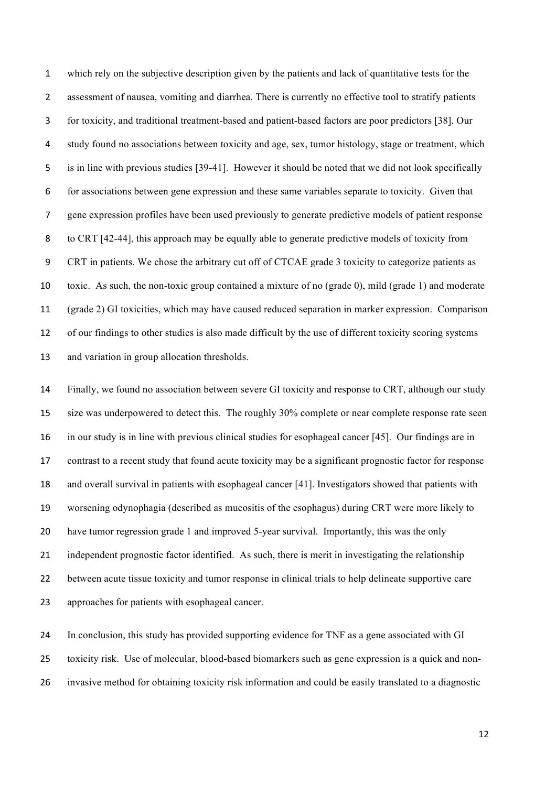which rely on the subjective description given by the patients and lack of quantitative tests for the assessment of nausea, vomiting and diarrhea. There is currently no effective tool to stratify patients for toxicity, and traditional treatment-based and patient-based factors are poor predictors [38]. Our study found no associations between toxicity and age, sex, tumor histology, stage or treatment, which is in line with previous studies [39-41]. However it should be noted that we did not look specifically for associations between gene expression and these same variables separate to toxicity. Given that gene expression profiles have been used previously to generate predictive models of patient response to CRT [42-44], this approach may be equally able to generate predictive models of toxicity from CRT in patients. We chose the arbitrary cut off of CTCAE grade 3 toxicity to categorize patients as toxic. As such, the non-toxic group contained a mixture of no (grade 0), mild (grade 1) and moderate (grade 2) GI toxicities, which may have caused reduced separation in marker expression. Comparison of our findings to other studies is also made difficult by the use of different toxicity scoring systems and variation in group allocation thresholds.

 Finally, we found no association between severe GI toxicity and response to CRT, although our study size was underpowered to detect this. The roughly 30% complete or near complete response rate seen in our study is in line with previous clinical studies for esophageal cancer [45]. Our findings are in contrast to a recent study that found acute toxicity may be a significant prognostic factor for response and overall survival in patients with esophageal cancer [41]. Investigators showed that patients with worsening odynophagia (described as mucositis of the esophagus) during CRT were more likely to have tumor regression grade 1 and improved 5-year survival. Importantly, this was the only independent prognostic factor identified. As such, there is merit in investigating the relationship between acute tissue toxicity and tumor response in clinical trials to help delineate supportive care approaches for patients with esophageal cancer.

 In conclusion, this study has provided supporting evidence for TNF as a gene associated with GI toxicity risk. Use of molecular, blood-based biomarkers such as gene expression is a quick and non-invasive method for obtaining toxicity risk information and could be easily translated to a diagnostic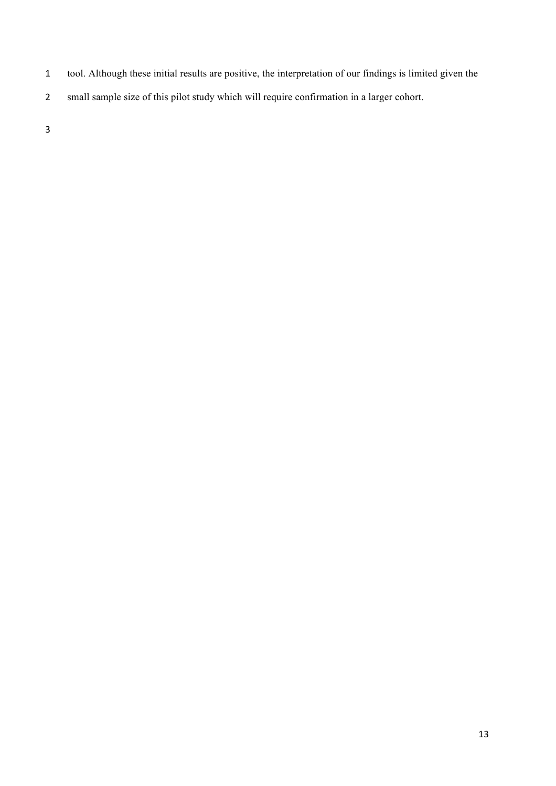- tool. Although these initial results are positive, the interpretation of our findings is limited given the
- small sample size of this pilot study which will require confirmation in a larger cohort.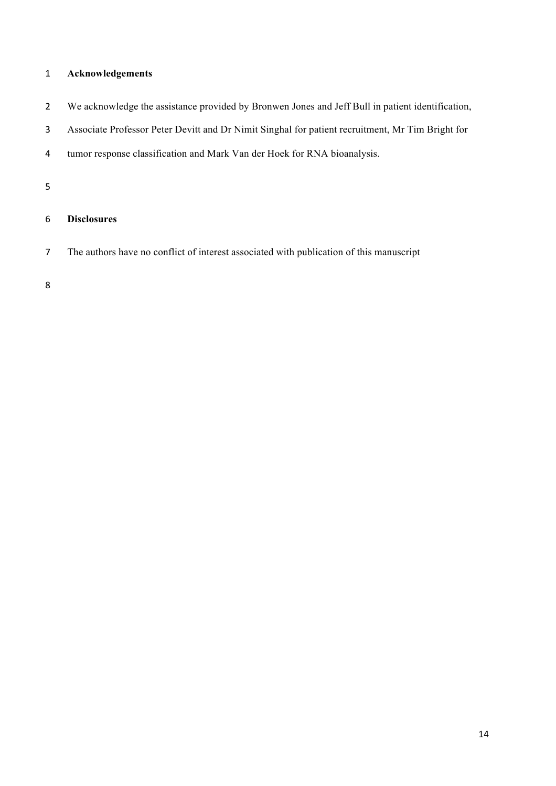## **Acknowledgements**

- We acknowledge the assistance provided by Bronwen Jones and Jeff Bull in patient identification,
- Associate Professor Peter Devitt and Dr Nimit Singhal for patient recruitment, Mr Tim Bright for
- tumor response classification and Mark Van der Hoek for RNA bioanalysis.

## **Disclosures**

The authors have no conflict of interest associated with publication of this manuscript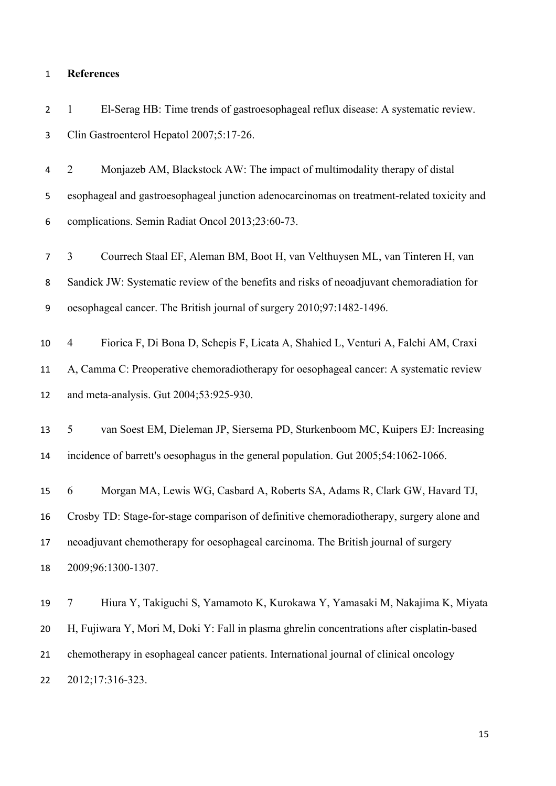# **References**

| $\overline{2}$   | El-Serag HB: Time trends of gastroesophageal reflux disease: A systematic review.<br>$\mathbf{1}$   |
|------------------|-----------------------------------------------------------------------------------------------------|
| 3                | Clin Gastroenterol Hepatol 2007;5:17-26.                                                            |
| 4                | $\overline{2}$<br>Monjazeb AM, Blackstock AW: The impact of multimodality therapy of distal         |
| 5                | esophageal and gastroesophageal junction adenocarcinomas on treatment-related toxicity and          |
| 6                | complications. Semin Radiat Oncol 2013;23:60-73.                                                    |
| $\overline{7}$   | 3<br>Courrech Staal EF, Aleman BM, Boot H, van Velthuysen ML, van Tinteren H, van                   |
| 8                | Sandick JW: Systematic review of the benefits and risks of neoadjuvant chemoradiation for           |
| $\boldsymbol{9}$ | oesophageal cancer. The British journal of surgery 2010;97:1482-1496.                               |
| 10               | Fiorica F, Di Bona D, Schepis F, Licata A, Shahied L, Venturi A, Falchi AM, Craxi<br>$\overline{4}$ |
| 11               | A, Camma C: Preoperative chemoradiotherapy for oesophageal cancer: A systematic review              |
| 12               | and meta-analysis. Gut 2004;53:925-930.                                                             |
| 13               | van Soest EM, Dieleman JP, Siersema PD, Sturkenboom MC, Kuipers EJ: Increasing<br>5                 |
| 14               | incidence of barrett's oesophagus in the general population. Gut 2005;54:1062-1066.                 |
| 15               | Morgan MA, Lewis WG, Casbard A, Roberts SA, Adams R, Clark GW, Havard TJ,<br>6                      |
| 16               | Crosby TD: Stage-for-stage comparison of definitive chemoradiotherapy, surgery alone and            |
| 17               | neoadjuvant chemotherapy for oesophageal carcinoma. The British journal of surgery                  |
| 18               | 2009;96:1300-1307.                                                                                  |
| 19               | Hiura Y, Takiguchi S, Yamamoto K, Kurokawa Y, Yamasaki M, Nakajima K, Miyata<br>7                   |
| 20               | H, Fujiwara Y, Mori M, Doki Y: Fall in plasma ghrelin concentrations after cisplatin-based          |
| 21               | chemotherapy in esophageal cancer patients. International journal of clinical oncology              |

2012;17:316-323.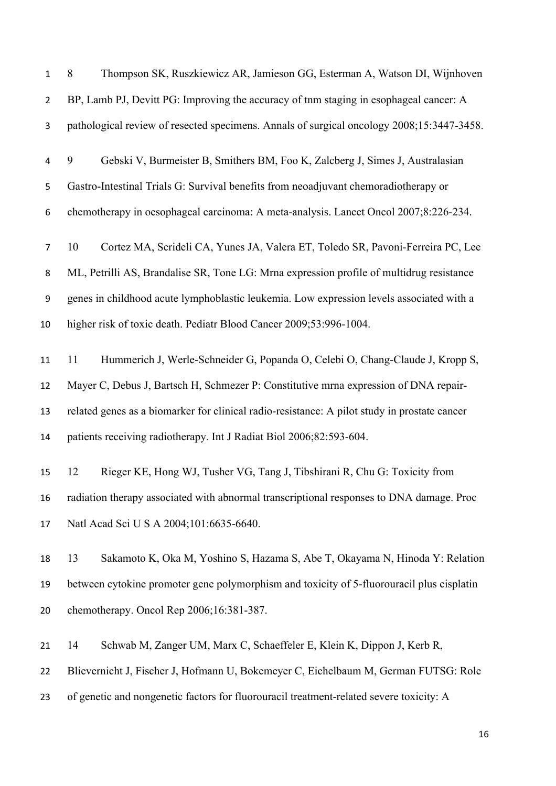| $\mathbf{1}$   | Thompson SK, Ruszkiewicz AR, Jamieson GG, Esterman A, Watson DI, Wijnhoven<br>8              |
|----------------|----------------------------------------------------------------------------------------------|
| $\overline{2}$ | BP, Lamb PJ, Devitt PG: Improving the accuracy of tnm staging in esophageal cancer: A        |
| 3              | pathological review of resected specimens. Annals of surgical oncology 2008;15:3447-3458.    |
| 4              | 9<br>Gebski V, Burmeister B, Smithers BM, Foo K, Zalcberg J, Simes J, Australasian           |
| 5              | Gastro-Intestinal Trials G: Survival benefits from neoadjuvant chemoradiotherapy or          |
| 6              | chemotherapy in oesophageal carcinoma: A meta-analysis. Lancet Oncol 2007;8:226-234.         |
| 7              | Cortez MA, Scrideli CA, Yunes JA, Valera ET, Toledo SR, Pavoni-Ferreira PC, Lee<br>10        |
| 8              | ML, Petrilli AS, Brandalise SR, Tone LG: Mrna expression profile of multidrug resistance     |
| 9              | genes in childhood acute lymphoblastic leukemia. Low expression levels associated with a     |
| 10             | higher risk of toxic death. Pediatr Blood Cancer 2009;53:996-1004.                           |
| 11             | Hummerich J, Werle-Schneider G, Popanda O, Celebi O, Chang-Claude J, Kropp S,<br>11          |
| 12             | Mayer C, Debus J, Bartsch H, Schmezer P: Constitutive mrna expression of DNA repair-         |
| 13             | related genes as a biomarker for clinical radio-resistance: A pilot study in prostate cancer |
| 14             | patients receiving radiotherapy. Int J Radiat Biol 2006;82:593-604.                          |
| 15             | Rieger KE, Hong WJ, Tusher VG, Tang J, Tibshirani R, Chu G: Toxicity from<br>12              |
| 16             | radiation therapy associated with abnormal transcriptional responses to DNA damage. Proc     |
| 17             | Natl Acad Sci U S A 2004;101:6635-6640.                                                      |
| 18             | 13<br>Sakamoto K, Oka M, Yoshino S, Hazama S, Abe T, Okayama N, Hinoda Y: Relation           |
| 19             | between cytokine promoter gene polymorphism and toxicity of 5-fluorouracil plus cisplatin    |
| 20             | chemotherapy. Oncol Rep 2006;16:381-387.                                                     |
| 21             | Schwab M, Zanger UM, Marx C, Schaeffeler E, Klein K, Dippon J, Kerb R,<br>14                 |
| 22             | Blievernicht J, Fischer J, Hofmann U, Bokemeyer C, Eichelbaum M, German FUTSG: Role          |
| 23             | of genetic and nongenetic factors for fluorouracil treatment-related severe toxicity: A      |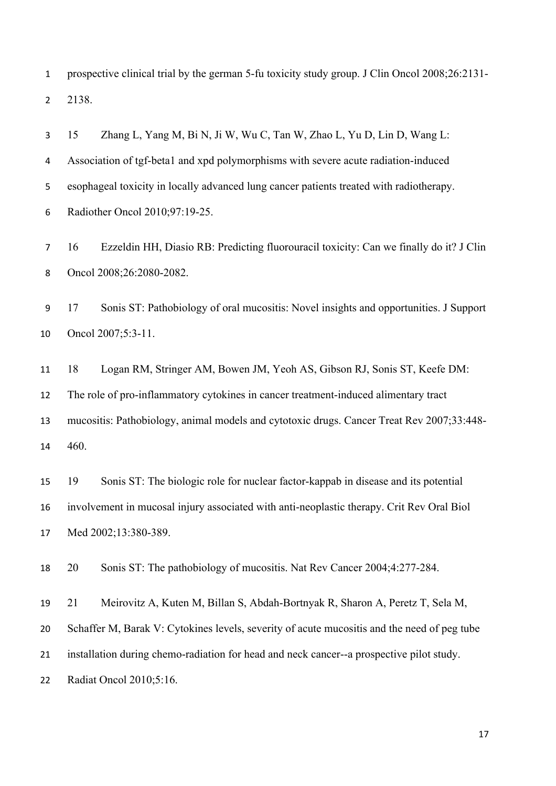prospective clinical trial by the german 5-fu toxicity study group. J Clin Oncol 2008;26:2131- 2138.

 15 Zhang L, Yang M, Bi N, Ji W, Wu C, Tan W, Zhao L, Yu D, Lin D, Wang L: Association of tgf-beta1 and xpd polymorphisms with severe acute radiation-induced esophageal toxicity in locally advanced lung cancer patients treated with radiotherapy. Radiother Oncol 2010;97:19-25.

 16 Ezzeldin HH, Diasio RB: Predicting fluorouracil toxicity: Can we finally do it? J Clin Oncol 2008;26:2080-2082.

 17 Sonis ST: Pathobiology of oral mucositis: Novel insights and opportunities. J Support Oncol 2007;5:3-11.

 18 Logan RM, Stringer AM, Bowen JM, Yeoh AS, Gibson RJ, Sonis ST, Keefe DM: The role of pro-inflammatory cytokines in cancer treatment-induced alimentary tract mucositis: Pathobiology, animal models and cytotoxic drugs. Cancer Treat Rev 2007;33:448- 460.

 19 Sonis ST: The biologic role for nuclear factor-kappab in disease and its potential involvement in mucosal injury associated with anti-neoplastic therapy. Crit Rev Oral Biol Med 2002;13:380-389.

20 Sonis ST: The pathobiology of mucositis. Nat Rev Cancer 2004;4:277-284.

21 Meirovitz A, Kuten M, Billan S, Abdah-Bortnyak R, Sharon A, Peretz T, Sela M,

Schaffer M, Barak V: Cytokines levels, severity of acute mucositis and the need of peg tube

installation during chemo-radiation for head and neck cancer--a prospective pilot study.

Radiat Oncol 2010;5:16.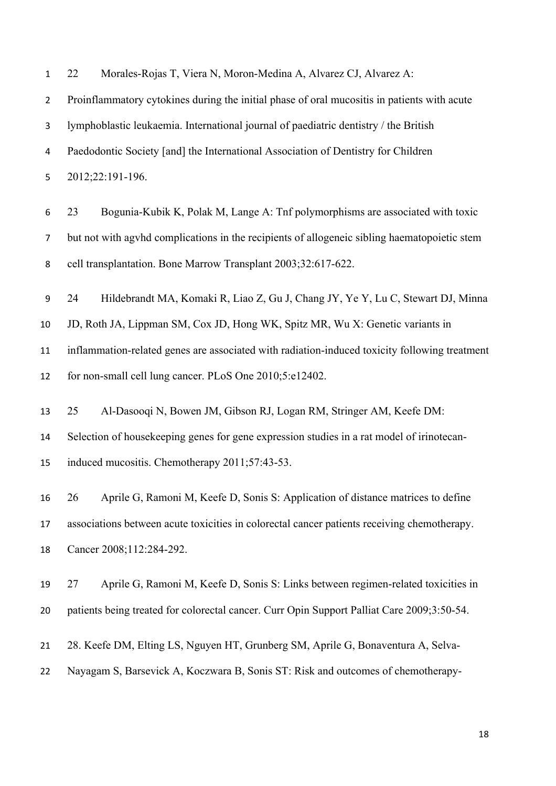22 Morales-Rojas T, Viera N, Moron-Medina A, Alvarez CJ, Alvarez A:

 Proinflammatory cytokines during the initial phase of oral mucositis in patients with acute lymphoblastic leukaemia. International journal of paediatric dentistry / the British Paedodontic Society [and] the International Association of Dentistry for Children 2012;22:191-196.

 23 Bogunia-Kubik K, Polak M, Lange A: Tnf polymorphisms are associated with toxic but not with agvhd complications in the recipients of allogeneic sibling haematopoietic stem cell transplantation. Bone Marrow Transplant 2003;32:617-622.

24 Hildebrandt MA, Komaki R, Liao Z, Gu J, Chang JY, Ye Y, Lu C, Stewart DJ, Minna

JD, Roth JA, Lippman SM, Cox JD, Hong WK, Spitz MR, Wu X: Genetic variants in

 inflammation-related genes are associated with radiation-induced toxicity following treatment for non-small cell lung cancer. PLoS One 2010;5:e12402.

 25 Al-Dasooqi N, Bowen JM, Gibson RJ, Logan RM, Stringer AM, Keefe DM: Selection of housekeeping genes for gene expression studies in a rat model of irinotecan-induced mucositis. Chemotherapy 2011;57:43-53.

 26 Aprile G, Ramoni M, Keefe D, Sonis S: Application of distance matrices to define associations between acute toxicities in colorectal cancer patients receiving chemotherapy. Cancer 2008;112:284-292.

 27 Aprile G, Ramoni M, Keefe D, Sonis S: Links between regimen-related toxicities in 20 patients being treated for colorectal cancer. Curr Opin Support Palliat Care 2009;3:50-54.

- 28. Keefe DM, Elting LS, Nguyen HT, Grunberg SM, Aprile G, Bonaventura A, Selva-
- Nayagam S, Barsevick A, Koczwara B, Sonis ST: Risk and outcomes of chemotherapy-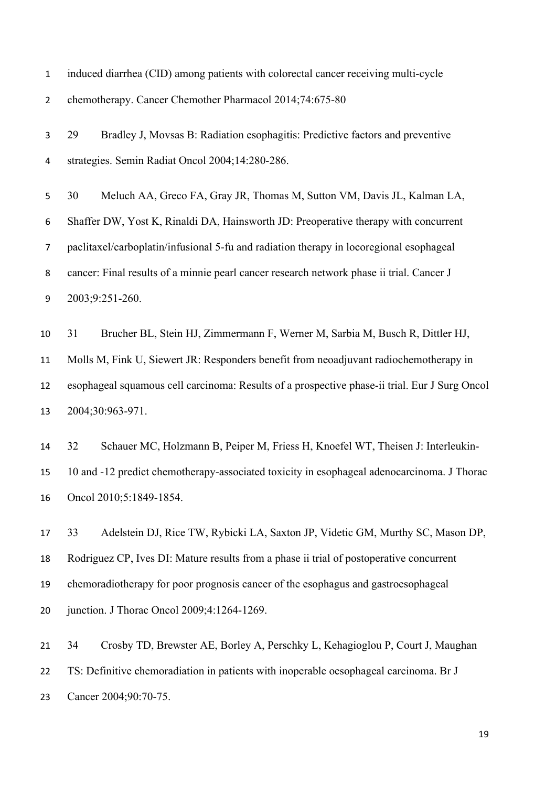induced diarrhea (CID) among patients with colorectal cancer receiving multi-cycle

chemotherapy. Cancer Chemother Pharmacol 2014;74:675-80

 29 Bradley J, Movsas B: Radiation esophagitis: Predictive factors and preventive strategies. Semin Radiat Oncol 2004;14:280-286.

 30 Meluch AA, Greco FA, Gray JR, Thomas M, Sutton VM, Davis JL, Kalman LA, Shaffer DW, Yost K, Rinaldi DA, Hainsworth JD: Preoperative therapy with concurrent paclitaxel/carboplatin/infusional 5-fu and radiation therapy in locoregional esophageal cancer: Final results of a minnie pearl cancer research network phase ii trial. Cancer J 2003;9:251-260.

 31 Brucher BL, Stein HJ, Zimmermann F, Werner M, Sarbia M, Busch R, Dittler HJ, Molls M, Fink U, Siewert JR: Responders benefit from neoadjuvant radiochemotherapy in esophageal squamous cell carcinoma: Results of a prospective phase-ii trial. Eur J Surg Oncol 2004;30:963-971.

 32 Schauer MC, Holzmann B, Peiper M, Friess H, Knoefel WT, Theisen J: Interleukin- 10 and -12 predict chemotherapy-associated toxicity in esophageal adenocarcinoma. J Thorac Oncol 2010;5:1849-1854.

 33 Adelstein DJ, Rice TW, Rybicki LA, Saxton JP, Videtic GM, Murthy SC, Mason DP, Rodriguez CP, Ives DI: Mature results from a phase ii trial of postoperative concurrent chemoradiotherapy for poor prognosis cancer of the esophagus and gastroesophageal junction. J Thorac Oncol 2009;4:1264-1269.

 34 Crosby TD, Brewster AE, Borley A, Perschky L, Kehagioglou P, Court J, Maughan TS: Definitive chemoradiation in patients with inoperable oesophageal carcinoma. Br J Cancer 2004;90:70-75.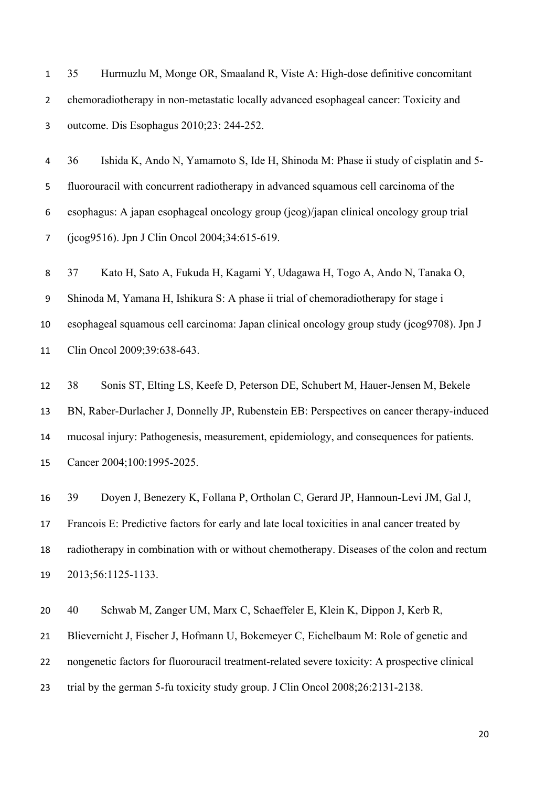35 Hurmuzlu M, Monge OR, Smaaland R, Viste A: High-dose definitive concomitant chemoradiotherapy in non-metastatic locally advanced esophageal cancer: Toxicity and outcome. Dis Esophagus 2010;23: 244-252.

 36 Ishida K, Ando N, Yamamoto S, Ide H, Shinoda M: Phase ii study of cisplatin and 5- fluorouracil with concurrent radiotherapy in advanced squamous cell carcinoma of the esophagus: A japan esophageal oncology group (jeog)/japan clinical oncology group trial (jcog9516). Jpn J Clin Oncol 2004;34:615-619.

 37 Kato H, Sato A, Fukuda H, Kagami Y, Udagawa H, Togo A, Ando N, Tanaka O, Shinoda M, Yamana H, Ishikura S: A phase ii trial of chemoradiotherapy for stage i esophageal squamous cell carcinoma: Japan clinical oncology group study (jcog9708). Jpn J Clin Oncol 2009;39:638-643.

 38 Sonis ST, Elting LS, Keefe D, Peterson DE, Schubert M, Hauer-Jensen M, Bekele BN, Raber-Durlacher J, Donnelly JP, Rubenstein EB: Perspectives on cancer therapy-induced mucosal injury: Pathogenesis, measurement, epidemiology, and consequences for patients. Cancer 2004;100:1995-2025.

 39 Doyen J, Benezery K, Follana P, Ortholan C, Gerard JP, Hannoun-Levi JM, Gal J, Francois E: Predictive factors for early and late local toxicities in anal cancer treated by radiotherapy in combination with or without chemotherapy. Diseases of the colon and rectum 2013;56:1125-1133.

 40 Schwab M, Zanger UM, Marx C, Schaeffeler E, Klein K, Dippon J, Kerb R, Blievernicht J, Fischer J, Hofmann U, Bokemeyer C, Eichelbaum M: Role of genetic and nongenetic factors for fluorouracil treatment-related severe toxicity: A prospective clinical trial by the german 5-fu toxicity study group. J Clin Oncol 2008;26:2131-2138.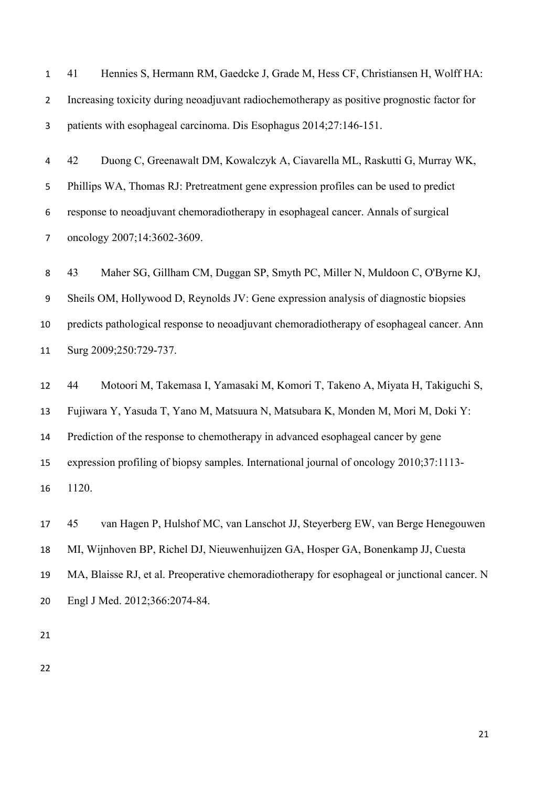41 Hennies S, Hermann RM, Gaedcke J, Grade M, Hess CF, Christiansen H, Wolff HA: Increasing toxicity during neoadjuvant radiochemotherapy as positive prognostic factor for patients with esophageal carcinoma. Dis Esophagus 2014;27:146-151.

 42 Duong C, Greenawalt DM, Kowalczyk A, Ciavarella ML, Raskutti G, Murray WK, Phillips WA, Thomas RJ: Pretreatment gene expression profiles can be used to predict response to neoadjuvant chemoradiotherapy in esophageal cancer. Annals of surgical 7 oncology 2007;14:3602-3609.

 43 Maher SG, Gillham CM, Duggan SP, Smyth PC, Miller N, Muldoon C, O'Byrne KJ, Sheils OM, Hollywood D, Reynolds JV: Gene expression analysis of diagnostic biopsies predicts pathological response to neoadjuvant chemoradiotherapy of esophageal cancer. Ann 11 Surg 2009;250:729-737.

 44 Motoori M, Takemasa I, Yamasaki M, Komori T, Takeno A, Miyata H, Takiguchi S, Fujiwara Y, Yasuda T, Yano M, Matsuura N, Matsubara K, Monden M, Mori M, Doki Y: Prediction of the response to chemotherapy in advanced esophageal cancer by gene expression profiling of biopsy samples. International journal of oncology 2010;37:1113- 1120.

 45 van Hagen P, Hulshof MC, van Lanschot JJ, Steyerberg EW, van Berge Henegouwen MI, Wijnhoven BP, Richel DJ, Nieuwenhuijzen GA, Hosper GA, Bonenkamp JJ, Cuesta MA, Blaisse RJ, et al. Preoperative chemoradiotherapy for esophageal or junctional cancer. N Engl J Med. 2012;366:2074-84.